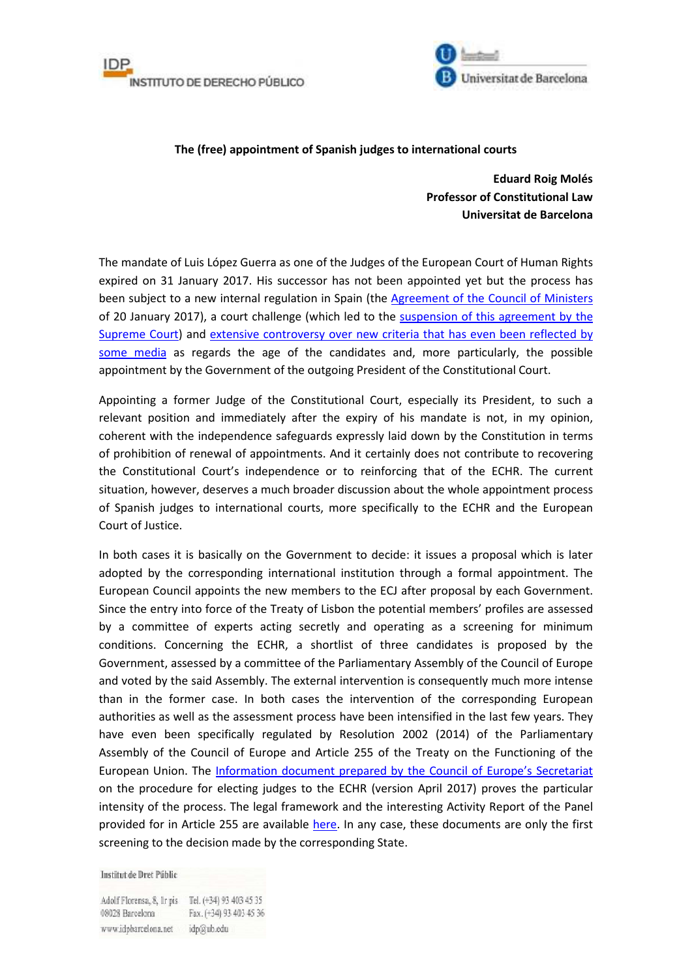



## **The (free) appointment of Spanish judges to international courts**

**Eduard Roig Molés Professor of Constitutional Law Universitat de Barcelona** 

The mandate of Luis López Guerra as one of the Judges of the European Court of Human Rights expired on 31 January 2017. His successor has not been appointed yet but the process has been subject to a new internal regulation in Spain (the Agreement of the Council of Ministers of 20 January 2017), a court challenge (which led to the suspension of this agreement by the Supreme Court) and extensive controversy over new criteria that has even been reflected by some media as regards the age of the candidates and, more particularly, the possible appointment by the Government of the outgoing President of the Constitutional Court.

Appointing a former Judge of the Constitutional Court, especially its President, to such a relevant position and immediately after the expiry of his mandate is not, in my opinion, coherent with the independence safeguards expressly laid down by the Constitution in terms of prohibition of renewal of appointments. And it certainly does not contribute to recovering the Constitutional Court's independence or to reinforcing that of the ECHR. The current situation, however, deserves a much broader discussion about the whole appointment process of Spanish judges to international courts, more specifically to the ECHR and the European Court of Justice.

In both cases it is basically on the Government to decide: it issues a proposal which is later adopted by the corresponding international institution through a formal appointment. The European Council appoints the new members to the ECJ after proposal by each Government. Since the entry into force of the Treaty of Lisbon the potential members' profiles are assessed by a committee of experts acting secretly and operating as a screening for minimum conditions. Concerning the ECHR, a shortlist of three candidates is proposed by the Government, assessed by a committee of the Parliamentary Assembly of the Council of Europe and voted by the said Assembly. The external intervention is consequently much more intense than in the former case. In both cases the intervention of the corresponding European authorities as well as the assessment process have been intensified in the last few years. They have even been specifically regulated by Resolution 2002 (2014) of the Parliamentary Assembly of the Council of Europe and Article 255 of the Treaty on the Functioning of the European Union. The Information document prepared by the Council of Europe's Secretariat on the procedure for electing judges to the ECHR (version April 2017) proves the particular intensity of the process. The legal framework and the interesting Activity Report of the Panel provided for in Article 255 are available here. In any case, these documents are only the first screening to the decision made by the corresponding State.

Institut de Dret Públic

Adolf Florensa, 8, 1r pis Tel. (+34) 93 403 45 35 08028 Barcelona Fax. (+34) 93 403 45 36 www.idpbarcelona.net idp@ub.edu